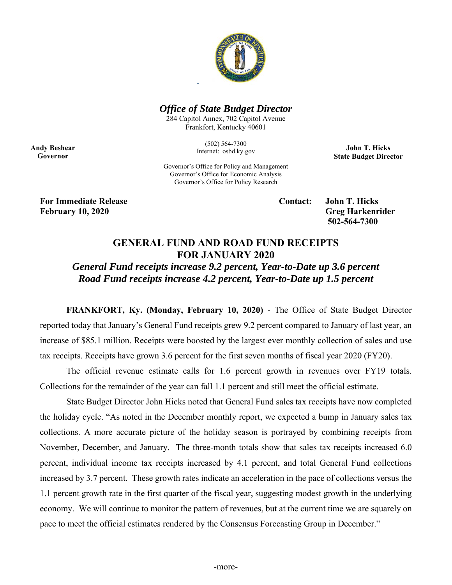

## *Office of State Budget Director*

284 Capitol Annex, 702 Capitol Avenue Frankfort, Kentucky 40601

> (502) 564-7300 Internet: osbd.ky.gov

**John T. Hicks State Budget Director** 

**Andy Beshear Governor** 

> Governor's Office for Policy and Management Governor's Office for Economic Analysis Governor's Office for Policy Research

**For Immediate Release Contact: John T. Hicks February 10, 2020 Greg Harkenrider** 

 **502-564-7300** 

## **GENERAL FUND AND ROAD FUND RECEIPTS FOR JANUARY 2020**

*General Fund receipts increase 9.2 percent, Year-to-Date up 3.6 percent Road Fund receipts increase 4.2 percent, Year-to-Date up 1.5 percent* 

**FRANKFORT, Ky. (Monday, February 10, 2020)** - The Office of State Budget Director reported today that January's General Fund receipts grew 9.2 percent compared to January of last year, an increase of \$85.1 million. Receipts were boosted by the largest ever monthly collection of sales and use tax receipts. Receipts have grown 3.6 percent for the first seven months of fiscal year 2020 (FY20).

The official revenue estimate calls for 1.6 percent growth in revenues over FY19 totals. Collections for the remainder of the year can fall 1.1 percent and still meet the official estimate.

 State Budget Director John Hicks noted that General Fund sales tax receipts have now completed the holiday cycle. "As noted in the December monthly report, we expected a bump in January sales tax collections. A more accurate picture of the holiday season is portrayed by combining receipts from November, December, and January. The three-month totals show that sales tax receipts increased 6.0 percent, individual income tax receipts increased by 4.1 percent, and total General Fund collections increased by 3.7 percent. These growth rates indicate an acceleration in the pace of collections versus the 1.1 percent growth rate in the first quarter of the fiscal year, suggesting modest growth in the underlying economy. We will continue to monitor the pattern of revenues, but at the current time we are squarely on pace to meet the official estimates rendered by the Consensus Forecasting Group in December."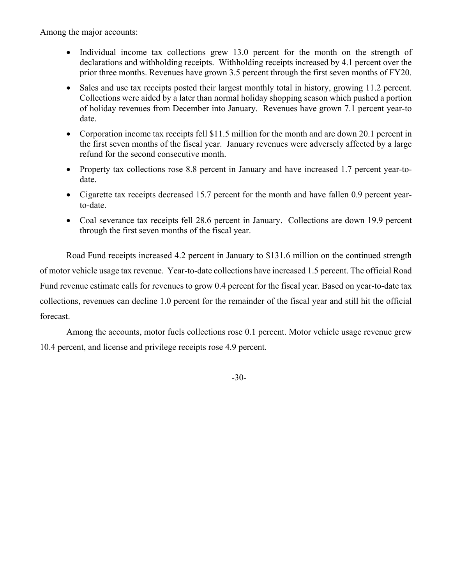Among the major accounts:

- Individual income tax collections grew 13.0 percent for the month on the strength of declarations and withholding receipts. Withholding receipts increased by 4.1 percent over the prior three months. Revenues have grown 3.5 percent through the first seven months of FY20.
- Sales and use tax receipts posted their largest monthly total in history, growing 11.2 percent. Collections were aided by a later than normal holiday shopping season which pushed a portion of holiday revenues from December into January. Revenues have grown 7.1 percent year-to date.
- Corporation income tax receipts fell \$11.5 million for the month and are down 20.1 percent in the first seven months of the fiscal year. January revenues were adversely affected by a large refund for the second consecutive month.
- Property tax collections rose 8.8 percent in January and have increased 1.7 percent year-todate.
- Cigarette tax receipts decreased 15.7 percent for the month and have fallen 0.9 percent yearto-date.
- Coal severance tax receipts fell 28.6 percent in January. Collections are down 19.9 percent through the first seven months of the fiscal year.

Road Fund receipts increased 4.2 percent in January to \$131.6 million on the continued strength of motor vehicle usage tax revenue. Year-to-date collections have increased 1.5 percent. The official Road Fund revenue estimate calls for revenues to grow 0.4 percent for the fiscal year. Based on year-to-date tax collections, revenues can decline 1.0 percent for the remainder of the fiscal year and still hit the official forecast.

Among the accounts, motor fuels collections rose 0.1 percent. Motor vehicle usage revenue grew 10.4 percent, and license and privilege receipts rose 4.9 percent.

-30-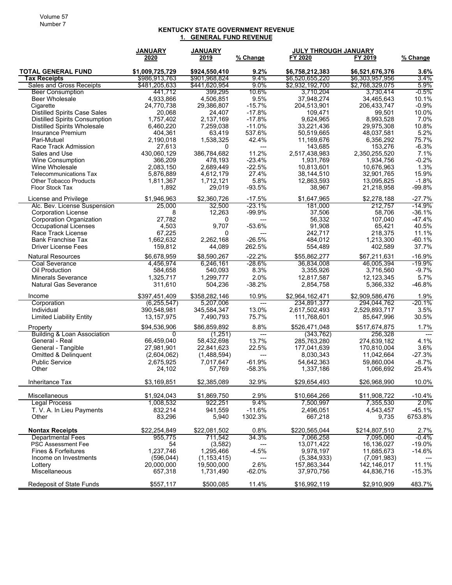## **KENTUCKY STATE GOVERNMENT REVENUE 1. GENERAL FUND REVENUE**

|                                                    | <b>JANUARY</b>      | <b>JANUARY</b> |                          | JULY THROUGH JANUARY  |                      |                |
|----------------------------------------------------|---------------------|----------------|--------------------------|-----------------------|----------------------|----------------|
|                                                    | 2020                | 2019           | % Change                 | FY 2020               | FY 2019              | % Change       |
| <b>TOTAL GENERAL FUND</b>                          | \$1,009,725,729     | \$924,550,410  | 9.2%                     | \$6,758,212,383       | \$6,521,676,376      | 3.6%           |
| <b>Tax Receipts</b>                                | \$986,913,763       | \$901,968,824  | 9.4%                     | \$6,520,655,220       | \$6,303,957,956      | 3.4%           |
| Sales and Gross Receipts                           | \$481.205.633       | \$441.620.954  | $9.0\%$                  | \$2,932,192,700       | \$2,768,329,075      | 5.9%           |
| <b>Beer Consumption</b>                            | 441,712             | 399,295        | 10.6%                    | 3,710,204             | 3,730,414            | $-0.5\%$       |
| <b>Beer Wholesale</b>                              | 4,933,866           | 4,506,851      | 9.5%                     | 37,948,274            | 34,465,643           | 10.1%          |
| Cigarette                                          | 24,770,738          | 29,386,807     | $-15.7%$                 | 204,513,901           | 206,433,747          | $-0.9%$        |
| <b>Distilled Spirits Case Sales</b>                | 20,068              | 24,407         | $-17.8%$                 | 109,471               | 99,501               | 10.0%          |
| <b>Distilled Spirits Consumption</b>               | 1,757,402           | 2,137,169      | $-17.8%$                 | 9,624,965             | 8,993,528            | 7.0%           |
| <b>Distilled Spirits Wholesale</b>                 | 6,460,220           | 7,259,038      | $-11.0%$                 | 33,221,436            | 29,975,308           | 10.8%          |
| Insurance Premium<br>Pari-Mutuel                   | 404,361             | 63,419         | 537.6%<br>42.4%          | 50,519,665            | 48,037,581           | 5.2%<br>75.7%  |
| Race Track Admission                               | 2,190,018<br>27,613 | 1,538,325<br>0 | $\hspace{0.05cm} \ldots$ | 11,169,676<br>143,685 | 6,356,292<br>153,276 | $-6.3%$        |
| Sales and Use                                      | 430,060,129         | 386,784,682    | 11.2%                    | 2,517,438,983         | 2,350,255,520        | 7.1%           |
| <b>Wine Consumption</b>                            | 366,209             | 478,193        | $-23.4%$                 | 1,931,769             | 1,934,756            | $-0.2%$        |
| Wine Wholesale                                     | 2,083,150           | 2,689,449      | $-22.5%$                 | 10,813,601            | 10,676,963           | 1.3%           |
| Telecommunications Tax                             | 5,876,889           | 4,612,179      | 27.4%                    | 38,144,510            | 32,901,765           | 15.9%          |
| <b>Other Tobacco Products</b>                      | 1,811,367           | 1,712,121      | 5.8%                     | 12,863,593            | 13,095,825           | $-1.8%$        |
| <b>Floor Stock Tax</b>                             | 1,892               | 29,019         | $-93.5%$                 | 38,967                | 21,218,958           | $-99.8%$       |
|                                                    |                     |                |                          |                       |                      |                |
| License and Privilege                              | \$1.946.963         | \$2,360,726    | $-17.5%$                 | \$1.647.965           | \$2,278,188          | $-27.7%$       |
| Alc. Bev. License Suspension                       | 25.000              | 32,500         | $-23.1%$                 | 181,000               | 212.757              | -14.9%         |
| <b>Corporation License</b>                         | 8                   | 12,263         | $-99.9%$                 | 37,506                | 58,706               | $-36.1%$       |
| <b>Corporation Organization</b>                    | 27,782              | 0              | ---                      | 56,332                | 107,040              | $-47.4%$       |
| <b>Occupational Licenses</b><br>Race Track License | 4,503<br>67,225     | 9,707<br>0     | $-53.6%$                 | 91,908<br>242,717     | 65,421<br>218,375    | 40.5%<br>11.1% |
| <b>Bank Franchise Tax</b>                          | 1,662,632           | 2,262,168      | ---<br>$-26.5%$          | 484,012               | 1,213,300            | $-60.1%$       |
| <b>Driver License Fees</b>                         | 159,812             | 44,089         | 262.5%                   | 554,489               | 402,589              | 37.7%          |
|                                                    |                     |                |                          |                       |                      |                |
| <b>Natural Resources</b>                           | \$6,678,959         | \$8,590,267    | $-22.2%$                 | \$55,862,277          | \$67,211,631         | $-16.9%$       |
| Coal Severance                                     | 4,456,974           | 6,246,161      | -28.6%                   | 36,834,008            | 46,005,394           | -19.9%         |
| Oil Production                                     | 584,658             | 540,093        | 8.3%                     | 3,355,926             | 3,716,560            | $-9.7%$        |
| <b>Minerals Severance</b>                          | 1,325,717           | 1,299,777      | 2.0%                     | 12,817,587            | 12,123,345           | 5.7%           |
| <b>Natural Gas Severance</b>                       | 311,610             | 504,236        | $-38.2%$                 | 2,854,758             | 5,366,332            | $-46.8%$       |
| Income                                             | \$397,451,409       | \$358,282,146  | 10.9%                    | \$2,964,162,471       | \$2,909,586,476      | 1.9%           |
| Corporation                                        | (6, 255, 547)       | 5,207,006      | $\overline{a}$           | 234,891,377           | 294,044,762          | -20.1%         |
| Individual                                         | 390,548,981         | 345,584,347    | 13.0%                    | 2,617,502,493         | 2,529,893,717        | 3.5%           |
| <b>Limited Liability Entity</b>                    | 13,157,975          | 7,490,793      | 75.7%                    | 111,768,601           | 85,647,996           | 30.5%          |
| Property                                           | \$94,536,906        | \$86,859,892   | 8.8%                     | \$526,471,048         | \$517,674,875        | 1.7%           |
| <b>Building &amp; Loan Association</b>             | $\Omega$            | (1,251)        | $\overline{a}$           | (343, 762)            | 256,328              |                |
| General - Real                                     | 66,459,040          | 58,432,698     | 13.7%                    | 285,763,280           | 274,639,182          | 4.1%           |
| General - Tangible                                 | 27,981,901          | 22,841,623     | 22.5%                    | 177,041,639           | 170,810,004          | 3.6%           |
| <b>Omitted &amp; Delinquent</b>                    | (2,604,062)         | (1,488,594)    | $\overline{a}$           | 8,030,343             | 11,042,664           | $-27.3%$       |
| <b>Public Service</b>                              | 2,675,925           | 7,017,647      | $-61.9%$                 | 54.642.363            | 59,860,004           | $-8.7%$        |
| Other                                              | 24,102              | 57,769         | $-58.3%$                 | 1,337,186             | 1,066,692            | 25.4%          |
| Inheritance Tax                                    | \$3,169,851         | \$2,385,089    | 32.9%                    | \$29,654,493          | \$26,968,990         | 10.0%          |
| Miscellaneous                                      | \$1,924,043         | \$1,869,750    | 2.9%                     | \$10,664,266          | \$11,908,722         | $-10.4%$       |
| <b>Legal Process</b>                               | 1,008,532           | 922,251        | 9.4%                     | 7,500,997             | 7,355,530            | 2.0%           |
| T. V. A. In Lieu Payments                          | 832,214             | 941,559        | $-11.6%$                 | 2,496,051             | 4,543,457            | -45.1%         |
| Other                                              | 83,296              | 5,940          | 1302.3%                  | 667,218               | 9,735                | 6753.8%        |
| <b>Nontax Receipts</b>                             | \$22,254,849        | \$22,081,502   | 0.8%                     | \$220,565,044         | \$214,807,510        | 2.7%           |
| <b>Departmental Fees</b>                           | 955,775             | 711,542        | 34.3%                    | 7,066,258             | 7,095,060            | -0.4%          |
| PSC Assessment Fee                                 | 54                  | (3,582)        | ---                      | 13,071,422            | 16,136,027           | $-19.0\%$      |
| Fines & Forfeitures                                | 1,237,746           | 1,295,466      | $-4.5%$                  | 9,978,197             | 11,685,673           | $-14.6%$       |
| Income on Investments                              | (596, 044)          | (1, 153, 415)  | ---                      | (5,384,933)           | (7,091,983)          |                |
| Lottery                                            | 20,000,000          | 19,500,000     | 2.6%                     | 157,863,344           | 142,146,017          | 11.1%          |
| Miscellaneous                                      | 657,318             | 1,731,490      | $-62.0%$                 | 37,970,756            | 44,836,716           | $-15.3%$       |
| Redeposit of State Funds                           | \$557,117           | \$500,085      | 11.4%                    | \$16,992,119          | \$2,910,909          | 483.7%         |